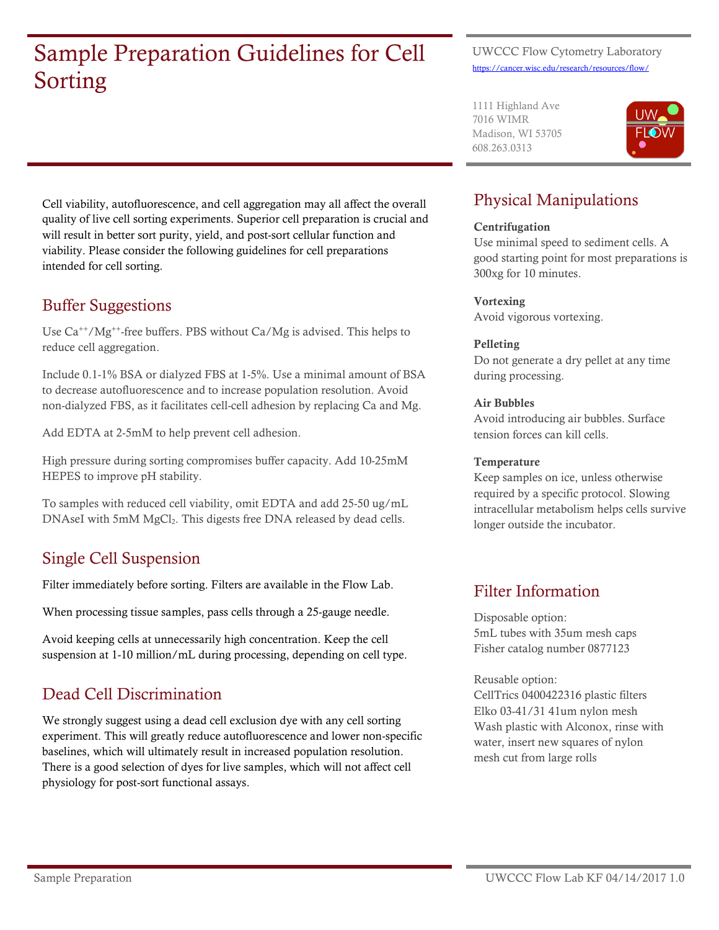# Sample Preparation Guidelines for Cell Sorting

#### UWCCC Flow Cytometry Laboratory <https://cancer.wisc.edu/research/resources/flow/>

1111 Highland Ave 7016 WIMR Madison, WI 53705 608.263.0313



Cell viability, autofluorescence, and cell aggregation may all affect the overall quality of live cell sorting experiments. Superior cell preparation is crucial and will result in better sort purity, yield, and post-sort cellular function and viability. Please consider the following guidelines for cell preparations intended for cell sorting.

# Buffer Suggestions

Use  $Ca^{++}/Mg^{++}$ -free buffers. PBS without  $Ca/Mg$  is advised. This helps to reduce cell aggregation.

Include 0.1-1% BSA or dialyzed FBS at 1-5%. Use a minimal amount of BSA to decrease autofluorescence and to increase population resolution. Avoid non-dialyzed FBS, as it facilitates cell-cell adhesion by replacing Ca and Mg.

Add EDTA at 2-5mM to help prevent cell adhesion.

High pressure during sorting compromises buffer capacity. Add 10-25mM HEPES to improve pH stability.

To samples with reduced cell viability, omit EDTA and add 25-50 ug/mL DNAseI with 5mM MgCl<sub>2</sub>. This digests free DNA released by dead cells.

# Single Cell Suspension

Filter immediately before sorting. Filters are available in the Flow Lab.

When processing tissue samples, pass cells through a 25-gauge needle.

Avoid keeping cells at unnecessarily high concentration. Keep the cell suspension at 1-10 million/mL during processing, depending on cell type.

# Dead Cell Discrimination

We strongly suggest using a dead cell exclusion dye with any cell sorting experiment. This will greatly reduce autofluorescence and lower non-specific baselines, which will ultimately result in increased population resolution. There is a good selection of dyes for live samples, which will not affect cell physiology for post-sort functional assays.

# Physical Manipulations

### **Centrifugation**

Use minimal speed to sediment cells. A good starting point for most preparations is 300xg for 10 minutes.

### Vortexing

Avoid vigorous vortexing.

### Pelleting

Do not generate a dry pellet at any time during processing.

### Air Bubbles

Avoid introducing air bubbles. Surface tension forces can kill cells.

### **Temperature**

Keep samples on ice, unless otherwise required by a specific protocol. Slowing intracellular metabolism helps cells survive longer outside the incubator.

## Filter Information

Disposable option: 5mL tubes with 35um mesh caps Fisher catalog number 0877123

Reusable option:

CellTrics 0400422316 plastic filters Elko 03-41/31 41um nylon mesh Wash plastic with Alconox, rinse with water, insert new squares of nylon mesh cut from large rolls